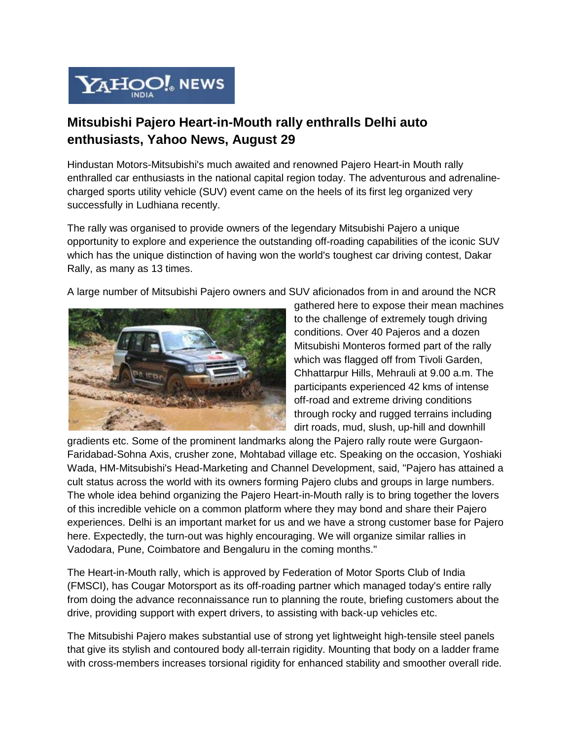

## **Mitsubishi Pajero Heart-in-Mouth rally enthralls Delhi auto enthusiasts, Yahoo News, August 29**

Hindustan Motors-Mitsubishi's much awaited and renowned Pajero Heart-in Mouth rally enthralled car enthusiasts in the national capital region today. The adventurous and adrenalinecharged sports utility vehicle (SUV) event came on the heels of its first leg organized very successfully in Ludhiana recently.

The rally was organised to provide owners of the legendary Mitsubishi Pajero a unique opportunity to explore and experience the outstanding off-roading capabilities of the iconic SUV which has the unique distinction of having won the world's toughest car driving contest, Dakar Rally, as many as 13 times.

A large number of Mitsubishi Pajero owners and SUV aficionados from in and around the NCR



gathered here to expose their mean machines to the challenge of extremely tough driving conditions. Over 40 Pajeros and a dozen Mitsubishi Monteros formed part of the rally which was flagged off from Tivoli Garden, Chhattarpur Hills, Mehrauli at 9.00 a.m. The participants experienced 42 kms of intense off-road and extreme driving conditions through rocky and rugged terrains including dirt roads, mud, slush, up-hill and downhill

gradients etc. Some of the prominent landmarks along the Pajero rally route were Gurgaon-Faridabad-Sohna Axis, crusher zone, Mohtabad village etc. Speaking on the occasion, Yoshiaki Wada, HM-Mitsubishi's Head-Marketing and Channel Development, said, "Pajero has attained a cult status across the world with its owners forming Pajero clubs and groups in large numbers. The whole idea behind organizing the Pajero Heart-in-Mouth rally is to bring together the lovers of this incredible vehicle on a common platform where they may bond and share their Pajero experiences. Delhi is an important market for us and we have a strong customer base for Pajero here. Expectedly, the turn-out was highly encouraging. We will organize similar rallies in Vadodara, Pune, Coimbatore and Bengaluru in the coming months."

The Heart-in-Mouth rally, which is approved by Federation of Motor Sports Club of India (FMSCI), has Cougar Motorsport as its off-roading partner which managed today's entire rally from doing the advance reconnaissance run to planning the route, briefing customers about the drive, providing support with expert drivers, to assisting with back-up vehicles etc.

The Mitsubishi Pajero makes substantial use of strong yet lightweight high-tensile steel panels that give its stylish and contoured body all-terrain rigidity. Mounting that body on a ladder frame with cross-members increases torsional rigidity for enhanced stability and smoother overall ride.